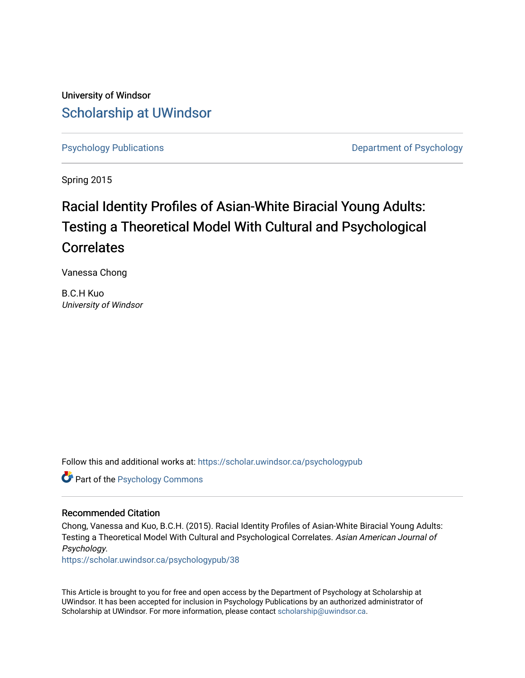University of Windsor [Scholarship at UWindsor](https://scholar.uwindsor.ca/) 

[Psychology Publications](https://scholar.uwindsor.ca/psychologypub) **Department of Psychology** 

Spring 2015

# Racial Identity Profiles of Asian-White Biracial Young Adults: Testing a Theoretical Model With Cultural and Psychological Correlates

Vanessa Chong

B.C.H Kuo University of Windsor

Follow this and additional works at: [https://scholar.uwindsor.ca/psychologypub](https://scholar.uwindsor.ca/psychologypub?utm_source=scholar.uwindsor.ca%2Fpsychologypub%2F38&utm_medium=PDF&utm_campaign=PDFCoverPages) 

Part of the [Psychology Commons](http://network.bepress.com/hgg/discipline/404?utm_source=scholar.uwindsor.ca%2Fpsychologypub%2F38&utm_medium=PDF&utm_campaign=PDFCoverPages) 

# Recommended Citation

Chong, Vanessa and Kuo, B.C.H. (2015). Racial Identity Profiles of Asian-White Biracial Young Adults: Testing a Theoretical Model With Cultural and Psychological Correlates. Asian American Journal of Psychology.

[https://scholar.uwindsor.ca/psychologypub/38](https://scholar.uwindsor.ca/psychologypub/38?utm_source=scholar.uwindsor.ca%2Fpsychologypub%2F38&utm_medium=PDF&utm_campaign=PDFCoverPages)

This Article is brought to you for free and open access by the Department of Psychology at Scholarship at UWindsor. It has been accepted for inclusion in Psychology Publications by an authorized administrator of Scholarship at UWindsor. For more information, please contact [scholarship@uwindsor.ca.](mailto:scholarship@uwindsor.ca)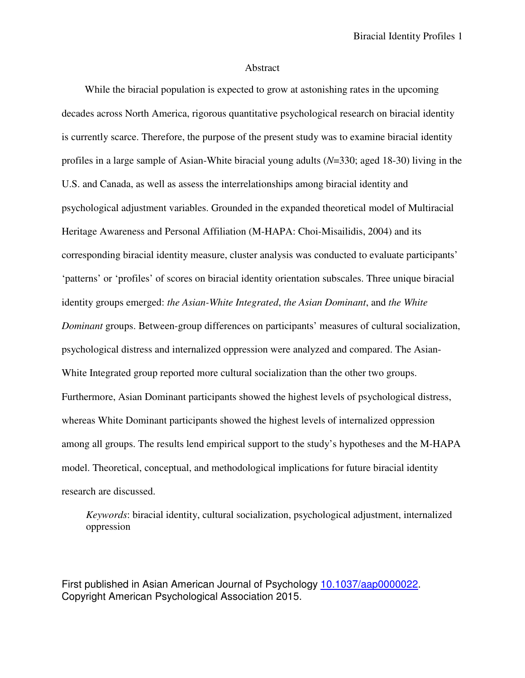# Abstract

While the biracial population is expected to grow at astonishing rates in the upcoming decades across North America, rigorous quantitative psychological research on biracial identity is currently scarce. Therefore, the purpose of the present study was to examine biracial identity profiles in a large sample of Asian-White biracial young adults (*N*=330; aged 18-30) living in the U.S. and Canada, as well as assess the interrelationships among biracial identity and psychological adjustment variables. Grounded in the expanded theoretical model of Multiracial Heritage Awareness and Personal Affiliation (M-HAPA: Choi-Misailidis, 2004) and its corresponding biracial identity measure, cluster analysis was conducted to evaluate participants' 'patterns' or 'profiles' of scores on biracial identity orientation subscales. Three unique biracial identity groups emerged: *the Asian-White Integrated*, *the Asian Dominant*, and *the White Dominant* groups. Between-group differences on participants' measures of cultural socialization, psychological distress and internalized oppression were analyzed and compared. The Asian-White Integrated group reported more cultural socialization than the other two groups. Furthermore, Asian Dominant participants showed the highest levels of psychological distress, whereas White Dominant participants showed the highest levels of internalized oppression among all groups. The results lend empirical support to the study's hypotheses and the M-HAPA model. Theoretical, conceptual, and methodological implications for future biracial identity research are discussed.

*Keywords*: biracial identity, cultural socialization, psychological adjustment, internalized oppression

First published in Asian American Journal of Psychology 10.1037/aap0000022. Copyright American Psychological Association 2015.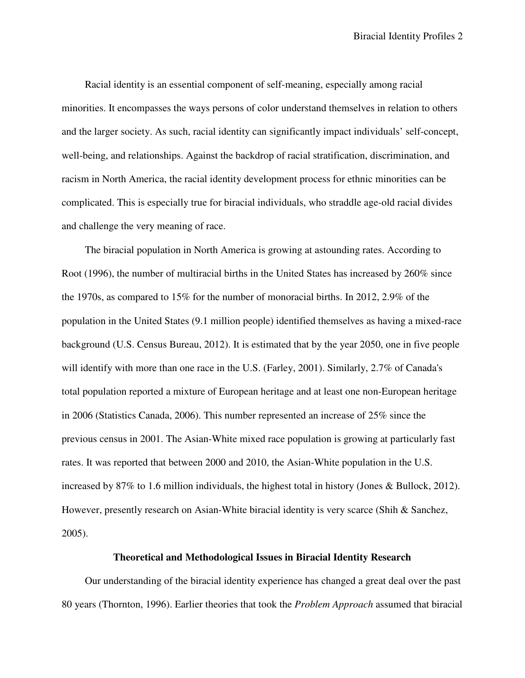Racial identity is an essential component of self-meaning, especially among racial minorities. It encompasses the ways persons of color understand themselves in relation to others and the larger society. As such, racial identity can significantly impact individuals' self-concept, well-being, and relationships. Against the backdrop of racial stratification, discrimination, and racism in North America, the racial identity development process for ethnic minorities can be complicated. This is especially true for biracial individuals, who straddle age-old racial divides and challenge the very meaning of race.

The biracial population in North America is growing at astounding rates. According to Root (1996), the number of multiracial births in the United States has increased by 260% since the 1970s, as compared to 15% for the number of monoracial births. In 2012, 2.9% of the population in the United States (9.1 million people) identified themselves as having a mixed-race background (U.S. Census Bureau, 2012). It is estimated that by the year 2050, one in five people will identify with more than one race in the U.S. (Farley, 2001). Similarly, 2.7% of Canada's total population reported a mixture of European heritage and at least one non-European heritage in 2006 (Statistics Canada, 2006). This number represented an increase of 25% since the previous census in 2001. The Asian-White mixed race population is growing at particularly fast rates. It was reported that between 2000 and 2010, the Asian-White population in the U.S. increased by 87% to 1.6 million individuals, the highest total in history (Jones & Bullock, 2012). However, presently research on Asian-White biracial identity is very scarce (Shih & Sanchez, 2005).

# **Theoretical and Methodological Issues in Biracial Identity Research**

Our understanding of the biracial identity experience has changed a great deal over the past 80 years (Thornton, 1996). Earlier theories that took the *Problem Approach* assumed that biracial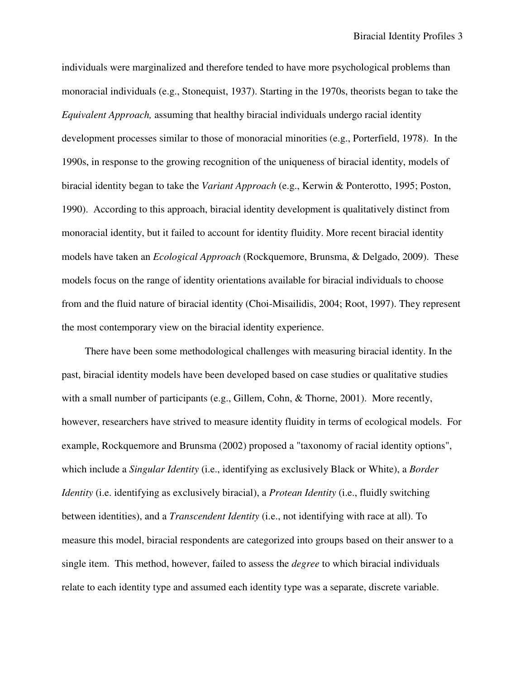individuals were marginalized and therefore tended to have more psychological problems than monoracial individuals (e.g., Stonequist, 1937). Starting in the 1970s, theorists began to take the *Equivalent Approach,* assuming that healthy biracial individuals undergo racial identity development processes similar to those of monoracial minorities (e.g., Porterfield, 1978). In the 1990s, in response to the growing recognition of the uniqueness of biracial identity, models of biracial identity began to take the *Variant Approach* (e.g., Kerwin & Ponterotto, 1995; Poston, 1990). According to this approach, biracial identity development is qualitatively distinct from monoracial identity, but it failed to account for identity fluidity. More recent biracial identity models have taken an *Ecological Approach* (Rockquemore, Brunsma, & Delgado, 2009). These models focus on the range of identity orientations available for biracial individuals to choose from and the fluid nature of biracial identity (Choi-Misailidis, 2004; Root, 1997). They represent the most contemporary view on the biracial identity experience.

There have been some methodological challenges with measuring biracial identity. In the past, biracial identity models have been developed based on case studies or qualitative studies with a small number of participants (e.g., Gillem, Cohn, & Thorne, 2001). More recently, however, researchers have strived to measure identity fluidity in terms of ecological models. For example, Rockquemore and Brunsma (2002) proposed a "taxonomy of racial identity options", which include a *Singular Identity* (i.e., identifying as exclusively Black or White), a *Border Identity* (i.e. identifying as exclusively biracial), a *Protean Identity* (i.e., fluidly switching between identities), and a *Transcendent Identity* (i.e., not identifying with race at all). To measure this model, biracial respondents are categorized into groups based on their answer to a single item. This method, however, failed to assess the *degree* to which biracial individuals relate to each identity type and assumed each identity type was a separate, discrete variable.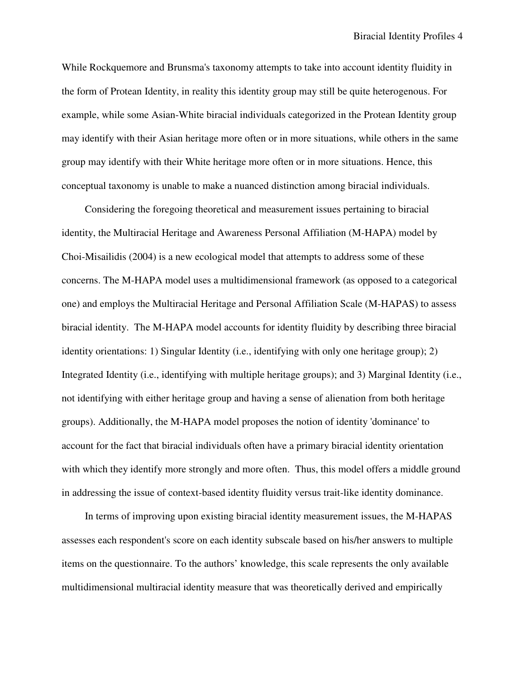While Rockquemore and Brunsma's taxonomy attempts to take into account identity fluidity in the form of Protean Identity, in reality this identity group may still be quite heterogenous. For example, while some Asian-White biracial individuals categorized in the Protean Identity group may identify with their Asian heritage more often or in more situations, while others in the same group may identify with their White heritage more often or in more situations. Hence, this conceptual taxonomy is unable to make a nuanced distinction among biracial individuals.

Considering the foregoing theoretical and measurement issues pertaining to biracial identity, the Multiracial Heritage and Awareness Personal Affiliation (M-HAPA) model by Choi-Misailidis (2004) is a new ecological model that attempts to address some of these concerns. The M-HAPA model uses a multidimensional framework (as opposed to a categorical one) and employs the Multiracial Heritage and Personal Affiliation Scale (M-HAPAS) to assess biracial identity. The M-HAPA model accounts for identity fluidity by describing three biracial identity orientations: 1) Singular Identity (i.e., identifying with only one heritage group); 2) Integrated Identity (i.e., identifying with multiple heritage groups); and 3) Marginal Identity (i.e., not identifying with either heritage group and having a sense of alienation from both heritage groups). Additionally, the M-HAPA model proposes the notion of identity 'dominance' to account for the fact that biracial individuals often have a primary biracial identity orientation with which they identify more strongly and more often. Thus, this model offers a middle ground in addressing the issue of context-based identity fluidity versus trait-like identity dominance.

In terms of improving upon existing biracial identity measurement issues, the M-HAPAS assesses each respondent's score on each identity subscale based on his/her answers to multiple items on the questionnaire. To the authors' knowledge, this scale represents the only available multidimensional multiracial identity measure that was theoretically derived and empirically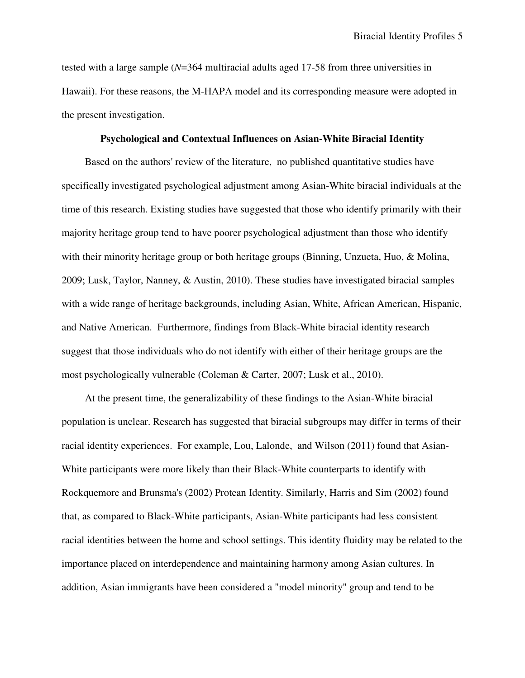tested with a large sample (*N*=364 multiracial adults aged 17-58 from three universities in Hawaii). For these reasons, the M-HAPA model and its corresponding measure were adopted in the present investigation.

#### **Psychological and Contextual Influences on Asian-White Biracial Identity**

Based on the authors' review of the literature, no published quantitative studies have specifically investigated psychological adjustment among Asian-White biracial individuals at the time of this research. Existing studies have suggested that those who identify primarily with their majority heritage group tend to have poorer psychological adjustment than those who identify with their minority heritage group or both heritage groups (Binning, Unzueta, Huo, & Molina, 2009; Lusk, Taylor, Nanney, & Austin, 2010). These studies have investigated biracial samples with a wide range of heritage backgrounds, including Asian, White, African American, Hispanic, and Native American. Furthermore, findings from Black-White biracial identity research suggest that those individuals who do not identify with either of their heritage groups are the most psychologically vulnerable (Coleman & Carter, 2007; Lusk et al., 2010).

At the present time, the generalizability of these findings to the Asian-White biracial population is unclear. Research has suggested that biracial subgroups may differ in terms of their racial identity experiences. For example, Lou, Lalonde, and Wilson (2011) found that Asian-White participants were more likely than their Black-White counterparts to identify with Rockquemore and Brunsma's (2002) Protean Identity. Similarly, Harris and Sim (2002) found that, as compared to Black-White participants, Asian-White participants had less consistent racial identities between the home and school settings. This identity fluidity may be related to the importance placed on interdependence and maintaining harmony among Asian cultures. In addition, Asian immigrants have been considered a "model minority" group and tend to be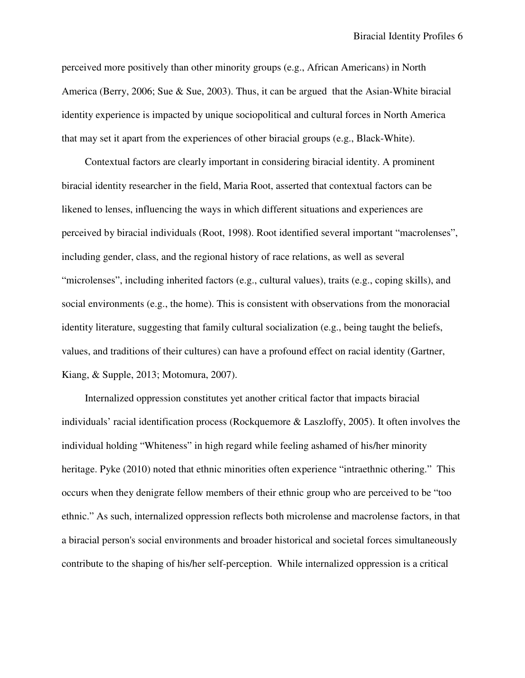perceived more positively than other minority groups (e.g., African Americans) in North America (Berry, 2006; Sue & Sue, 2003). Thus, it can be argued that the Asian-White biracial identity experience is impacted by unique sociopolitical and cultural forces in North America that may set it apart from the experiences of other biracial groups (e.g., Black-White).

Contextual factors are clearly important in considering biracial identity. A prominent biracial identity researcher in the field, Maria Root, asserted that contextual factors can be likened to lenses, influencing the ways in which different situations and experiences are perceived by biracial individuals (Root, 1998). Root identified several important "macrolenses", including gender, class, and the regional history of race relations, as well as several "microlenses", including inherited factors (e.g., cultural values), traits (e.g., coping skills), and social environments (e.g., the home). This is consistent with observations from the monoracial identity literature, suggesting that family cultural socialization (e.g., being taught the beliefs, values, and traditions of their cultures) can have a profound effect on racial identity (Gartner, Kiang, & Supple, 2013; Motomura, 2007).

Internalized oppression constitutes yet another critical factor that impacts biracial individuals' racial identification process (Rockquemore & Laszloffy, 2005). It often involves the individual holding "Whiteness" in high regard while feeling ashamed of his/her minority heritage. Pyke (2010) noted that ethnic minorities often experience "intraethnic othering." This occurs when they denigrate fellow members of their ethnic group who are perceived to be "too ethnic." As such, internalized oppression reflects both microlense and macrolense factors, in that a biracial person's social environments and broader historical and societal forces simultaneously contribute to the shaping of his/her self-perception. While internalized oppression is a critical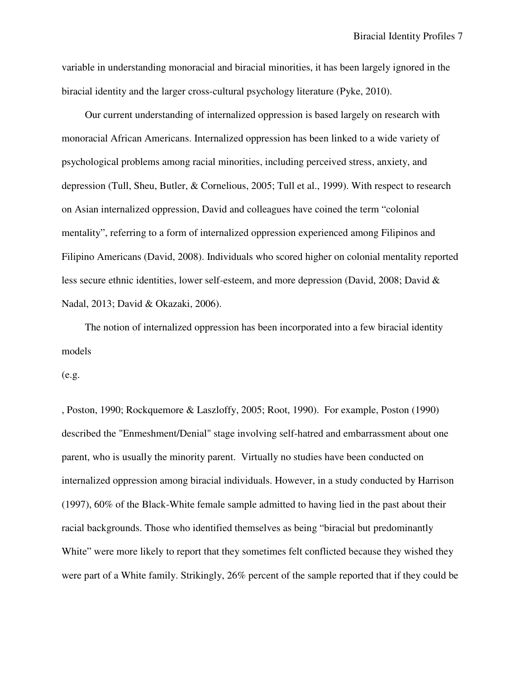variable in understanding monoracial and biracial minorities, it has been largely ignored in the biracial identity and the larger cross-cultural psychology literature (Pyke, 2010).

Our current understanding of internalized oppression is based largely on research with monoracial African Americans. Internalized oppression has been linked to a wide variety of psychological problems among racial minorities, including perceived stress, anxiety, and depression (Tull, Sheu, Butler, & Cornelious, 2005; Tull et al., 1999). With respect to research on Asian internalized oppression, David and colleagues have coined the term "colonial mentality", referring to a form of internalized oppression experienced among Filipinos and Filipino Americans (David, 2008). Individuals who scored higher on colonial mentality reported less secure ethnic identities, lower self-esteem, and more depression (David, 2008; David & Nadal, 2013; David & Okazaki, 2006).

The notion of internalized oppression has been incorporated into a few biracial identity models

(e.g.

, Poston, 1990; Rockquemore & Laszloffy, 2005; Root, 1990). For example, Poston (1990) described the "Enmeshment/Denial" stage involving self-hatred and embarrassment about one parent, who is usually the minority parent. Virtually no studies have been conducted on internalized oppression among biracial individuals. However, in a study conducted by Harrison (1997), 60% of the Black-White female sample admitted to having lied in the past about their racial backgrounds. Those who identified themselves as being "biracial but predominantly White" were more likely to report that they sometimes felt conflicted because they wished they were part of a White family. Strikingly, 26% percent of the sample reported that if they could be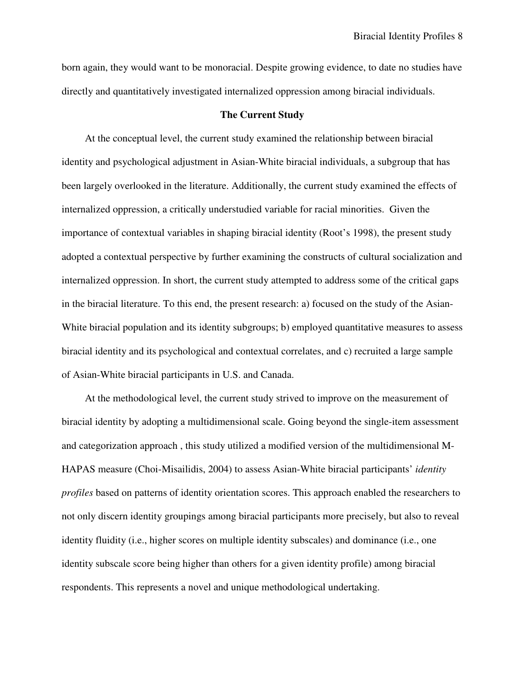born again, they would want to be monoracial. Despite growing evidence, to date no studies have directly and quantitatively investigated internalized oppression among biracial individuals.

# **The Current Study**

At the conceptual level, the current study examined the relationship between biracial identity and psychological adjustment in Asian-White biracial individuals, a subgroup that has been largely overlooked in the literature. Additionally, the current study examined the effects of internalized oppression, a critically understudied variable for racial minorities. Given the importance of contextual variables in shaping biracial identity (Root's 1998), the present study adopted a contextual perspective by further examining the constructs of cultural socialization and internalized oppression. In short, the current study attempted to address some of the critical gaps in the biracial literature. To this end, the present research: a) focused on the study of the Asian-White biracial population and its identity subgroups; b) employed quantitative measures to assess biracial identity and its psychological and contextual correlates, and c) recruited a large sample of Asian-White biracial participants in U.S. and Canada.

At the methodological level, the current study strived to improve on the measurement of biracial identity by adopting a multidimensional scale. Going beyond the single-item assessment and categorization approach , this study utilized a modified version of the multidimensional M-HAPAS measure (Choi-Misailidis, 2004) to assess Asian-White biracial participants' *identity profiles* based on patterns of identity orientation scores. This approach enabled the researchers to not only discern identity groupings among biracial participants more precisely, but also to reveal identity fluidity (i.e., higher scores on multiple identity subscales) and dominance (i.e., one identity subscale score being higher than others for a given identity profile) among biracial respondents. This represents a novel and unique methodological undertaking.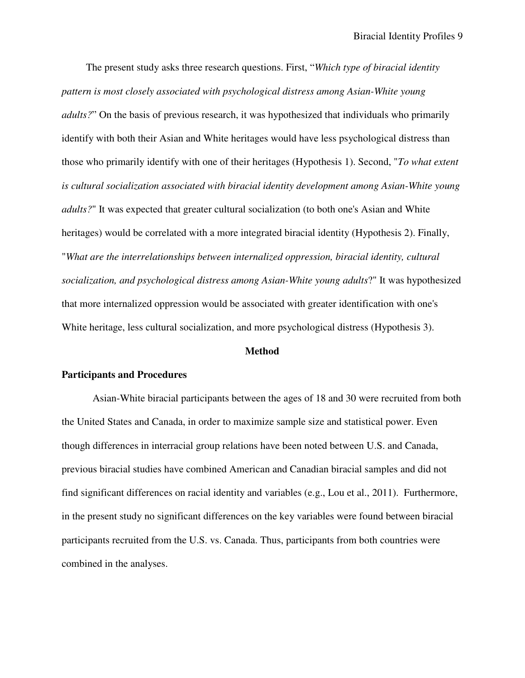The present study asks three research questions. First, "*Which type of biracial identity pattern is most closely associated with psychological distress among Asian-White young adults?*" On the basis of previous research, it was hypothesized that individuals who primarily identify with both their Asian and White heritages would have less psychological distress than those who primarily identify with one of their heritages (Hypothesis 1). Second, "*To what extent is cultural socialization associated with biracial identity development among Asian-White young adults?*" It was expected that greater cultural socialization (to both one's Asian and White heritages) would be correlated with a more integrated biracial identity (Hypothesis 2). Finally, "*What are the interrelationships between internalized oppression, biracial identity, cultural socialization, and psychological distress among Asian-White young adults*?" It was hypothesized that more internalized oppression would be associated with greater identification with one's White heritage, less cultural socialization, and more psychological distress (Hypothesis 3).

#### **Method**

## **Participants and Procedures**

Asian-White biracial participants between the ages of 18 and 30 were recruited from both the United States and Canada, in order to maximize sample size and statistical power. Even though differences in interracial group relations have been noted between U.S. and Canada, previous biracial studies have combined American and Canadian biracial samples and did not find significant differences on racial identity and variables (e.g., Lou et al., 2011). Furthermore, in the present study no significant differences on the key variables were found between biracial participants recruited from the U.S. vs. Canada. Thus, participants from both countries were combined in the analyses.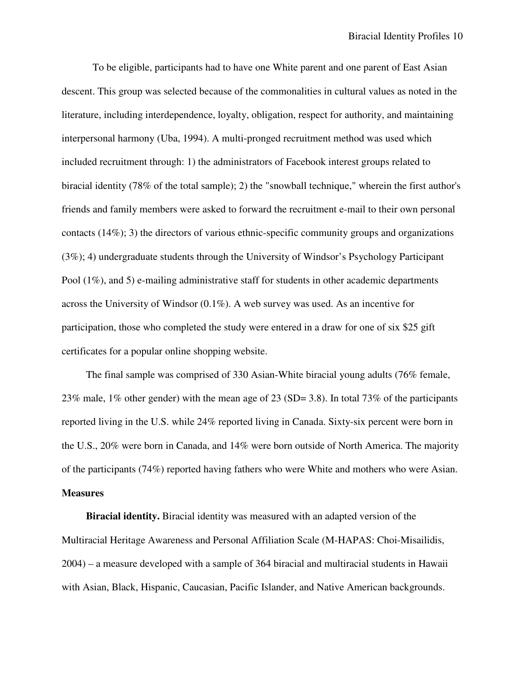To be eligible, participants had to have one White parent and one parent of East Asian descent. This group was selected because of the commonalities in cultural values as noted in the literature, including interdependence, loyalty, obligation, respect for authority, and maintaining interpersonal harmony (Uba, 1994). A multi-pronged recruitment method was used which included recruitment through: 1) the administrators of Facebook interest groups related to biracial identity (78% of the total sample); 2) the "snowball technique," wherein the first author's friends and family members were asked to forward the recruitment e-mail to their own personal contacts (14%); 3) the directors of various ethnic-specific community groups and organizations (3%); 4) undergraduate students through the University of Windsor's Psychology Participant Pool (1%), and 5) e-mailing administrative staff for students in other academic departments across the University of Windsor (0.1%). A web survey was used. As an incentive for participation, those who completed the study were entered in a draw for one of six \$25 gift certificates for a popular online shopping website.

The final sample was comprised of 330 Asian-White biracial young adults (76% female, 23% male, 1% other gender) with the mean age of 23 (SD= 3.8). In total 73% of the participants reported living in the U.S. while 24% reported living in Canada. Sixty-six percent were born in the U.S., 20% were born in Canada, and 14% were born outside of North America. The majority of the participants (74%) reported having fathers who were White and mothers who were Asian. **Measures** 

**Biracial identity.** Biracial identity was measured with an adapted version of the Multiracial Heritage Awareness and Personal Affiliation Scale (M-HAPAS: Choi-Misailidis, 2004) – a measure developed with a sample of 364 biracial and multiracial students in Hawaii with Asian, Black, Hispanic, Caucasian, Pacific Islander, and Native American backgrounds.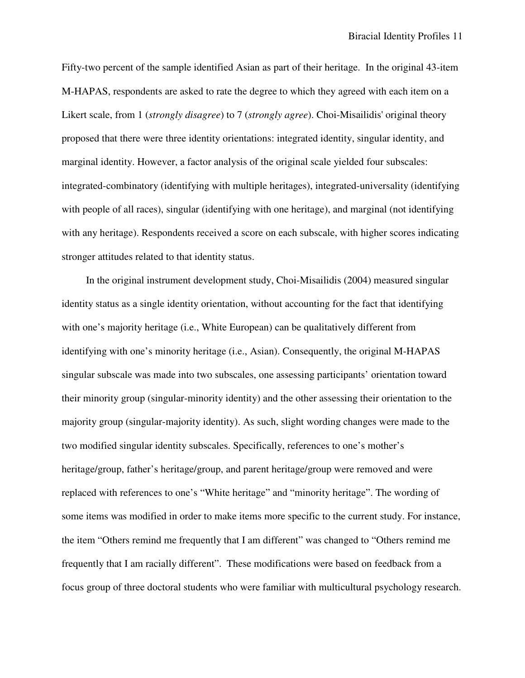Fifty-two percent of the sample identified Asian as part of their heritage. In the original 43-item M-HAPAS, respondents are asked to rate the degree to which they agreed with each item on a Likert scale, from 1 (*strongly disagree*) to 7 (*strongly agree*). Choi-Misailidis' original theory proposed that there were three identity orientations: integrated identity, singular identity, and marginal identity. However, a factor analysis of the original scale yielded four subscales: integrated-combinatory (identifying with multiple heritages), integrated-universality (identifying with people of all races), singular (identifying with one heritage), and marginal (not identifying with any heritage). Respondents received a score on each subscale, with higher scores indicating stronger attitudes related to that identity status.

In the original instrument development study, Choi-Misailidis (2004) measured singular identity status as a single identity orientation, without accounting for the fact that identifying with one's majority heritage (i.e., White European) can be qualitatively different from identifying with one's minority heritage (i.e., Asian). Consequently, the original M-HAPAS singular subscale was made into two subscales, one assessing participants' orientation toward their minority group (singular-minority identity) and the other assessing their orientation to the majority group (singular-majority identity). As such, slight wording changes were made to the two modified singular identity subscales. Specifically, references to one's mother's heritage/group, father's heritage/group, and parent heritage/group were removed and were replaced with references to one's "White heritage" and "minority heritage". The wording of some items was modified in order to make items more specific to the current study. For instance, the item "Others remind me frequently that I am different" was changed to "Others remind me frequently that I am racially different". These modifications were based on feedback from a focus group of three doctoral students who were familiar with multicultural psychology research.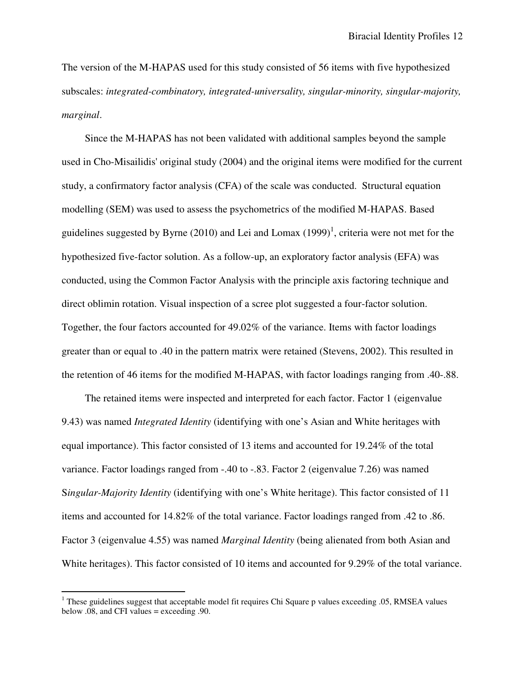The version of the M-HAPAS used for this study consisted of 56 items with five hypothesized subscales: *integrated-combinatory, integrated-universality, singular-minority, singular-majority, marginal*.

Since the M-HAPAS has not been validated with additional samples beyond the sample used in Cho-Misailidis' original study (2004) and the original items were modified for the current study, a confirmatory factor analysis (CFA) of the scale was conducted. Structural equation modelling (SEM) was used to assess the psychometrics of the modified M-HAPAS. Based guidelines suggested by Byrne (2010) and Lei and Lomax  $(1999)^1$ , criteria were not met for the hypothesized five-factor solution. As a follow-up, an exploratory factor analysis (EFA) was conducted, using the Common Factor Analysis with the principle axis factoring technique and direct oblimin rotation. Visual inspection of a scree plot suggested a four-factor solution. Together, the four factors accounted for 49.02% of the variance. Items with factor loadings greater than or equal to .40 in the pattern matrix were retained (Stevens, 2002). This resulted in the retention of 46 items for the modified M-HAPAS, with factor loadings ranging from .40-.88.

The retained items were inspected and interpreted for each factor. Factor 1 (eigenvalue 9.43) was named *Integrated Identity* (identifying with one's Asian and White heritages with equal importance). This factor consisted of 13 items and accounted for 19.24% of the total variance. Factor loadings ranged from -.40 to -.83. Factor 2 (eigenvalue 7.26) was named S*ingular-Majority Identity* (identifying with one's White heritage). This factor consisted of 11 items and accounted for 14.82% of the total variance. Factor loadings ranged from .42 to .86. Factor 3 (eigenvalue 4.55) was named *Marginal Identity* (being alienated from both Asian and White heritages). This factor consisted of 10 items and accounted for 9.29% of the total variance.

 $\overline{a}$ 

<sup>&</sup>lt;sup>1</sup> These guidelines suggest that acceptable model fit requires Chi Square p values exceeding .05, RMSEA values below .08, and CFI values = exceeding .90.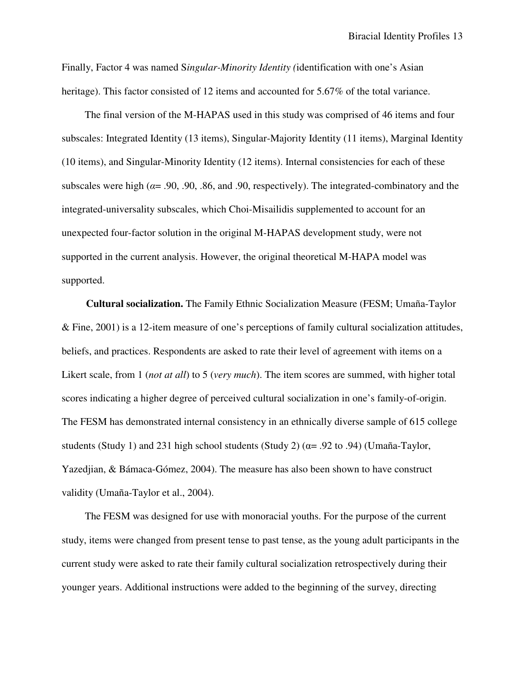Finally, Factor 4 was named S*ingular-Minority Identity (*identification with one's Asian heritage). This factor consisted of 12 items and accounted for 5.67% of the total variance.

The final version of the M-HAPAS used in this study was comprised of 46 items and four subscales: Integrated Identity (13 items), Singular-Majority Identity (11 items), Marginal Identity (10 items), and Singular-Minority Identity (12 items). Internal consistencies for each of these subscales were high ( $\alpha$ = .90, .90, .86, and .90, respectively). The integrated-combinatory and the integrated-universality subscales, which Choi-Misailidis supplemented to account for an unexpected four-factor solution in the original M-HAPAS development study, were not supported in the current analysis. However, the original theoretical M-HAPA model was supported.

**Cultural socialization.** The Family Ethnic Socialization Measure (FESM; Umaña-Taylor & Fine, 2001) is a 12-item measure of one's perceptions of family cultural socialization attitudes, beliefs, and practices. Respondents are asked to rate their level of agreement with items on a Likert scale, from 1 (*not at all*) to 5 (*very much*). The item scores are summed, with higher total scores indicating a higher degree of perceived cultural socialization in one's family-of-origin. The FESM has demonstrated internal consistency in an ethnically diverse sample of 615 college students (Study 1) and 231 high school students (Study 2) (α= .92 to .94) (Umaña-Taylor, Yazedjian, & Bámaca-Gómez, 2004). The measure has also been shown to have construct validity (Umaña-Taylor et al., 2004).

The FESM was designed for use with monoracial youths. For the purpose of the current study, items were changed from present tense to past tense, as the young adult participants in the current study were asked to rate their family cultural socialization retrospectively during their younger years. Additional instructions were added to the beginning of the survey, directing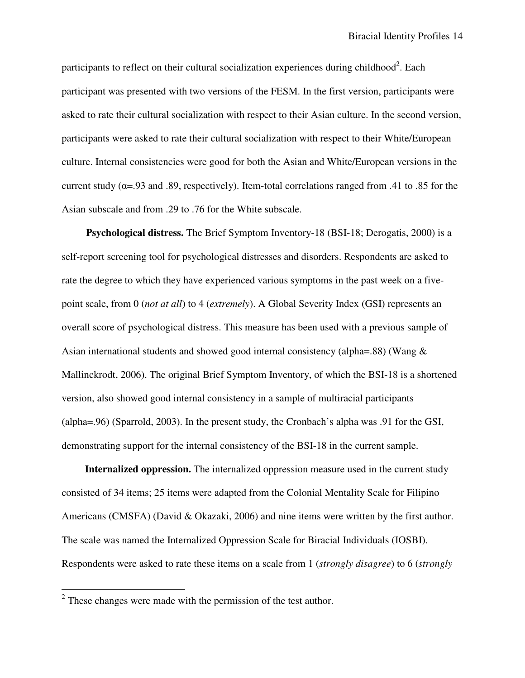participants to reflect on their cultural socialization experiences during childhood<sup>2</sup>. Each participant was presented with two versions of the FESM. In the first version, participants were asked to rate their cultural socialization with respect to their Asian culture. In the second version, participants were asked to rate their cultural socialization with respect to their White/European culture. Internal consistencies were good for both the Asian and White/European versions in the current study ( $\alpha$ =.93 and .89, respectively). Item-total correlations ranged from .41 to .85 for the Asian subscale and from .29 to .76 for the White subscale.

**Psychological distress.** The Brief Symptom Inventory-18 (BSI-18; Derogatis, 2000) is a self-report screening tool for psychological distresses and disorders. Respondents are asked to rate the degree to which they have experienced various symptoms in the past week on a fivepoint scale, from 0 (*not at all*) to 4 (*extremely*). A Global Severity Index (GSI) represents an overall score of psychological distress. This measure has been used with a previous sample of Asian international students and showed good internal consistency (alpha=.88) (Wang & Mallinckrodt, 2006). The original Brief Symptom Inventory, of which the BSI-18 is a shortened version, also showed good internal consistency in a sample of multiracial participants (alpha=.96) (Sparrold, 2003). In the present study, the Cronbach's alpha was .91 for the GSI, demonstrating support for the internal consistency of the BSI-18 in the current sample.

**Internalized oppression.** The internalized oppression measure used in the current study consisted of 34 items; 25 items were adapted from the Colonial Mentality Scale for Filipino Americans (CMSFA) (David & Okazaki, 2006) and nine items were written by the first author. The scale was named the Internalized Oppression Scale for Biracial Individuals (IOSBI). Respondents were asked to rate these items on a scale from 1 (*strongly disagree*) to 6 (*strongly* 

<sup>&</sup>lt;sup>2</sup> These changes were made with the permission of the test author.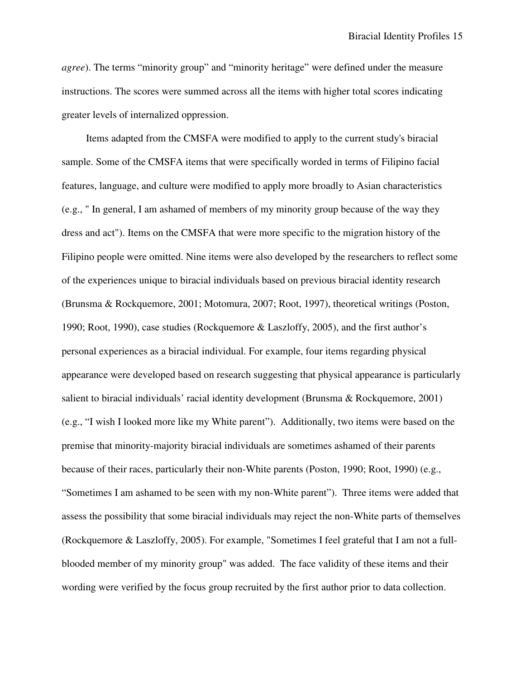*agree*). The terms "minority group" and "minority heritage" were defined under the measure instructions. The scores were summed across all the items with higher total scores indicating greater levels of internalized oppression.

Items adapted from the CMSFA were modified to apply to the current study's biracial sample. Some of the CMSFA items that were specifically worded in terms of Filipino facial features, language, and culture were modified to apply more broadly to Asian characteristics (e.g., " In general, I am ashamed of members of my minority group because of the way they dress and act"). Items on the CMSFA that were more specific to the migration history of the Filipino people were omitted. Nine items were also developed by the researchers to reflect some of the experiences unique to biracial individuals based on previous biracial identity research (Brunsma & Rockquemore, 2001; Motomura, 2007; Root, 1997), theoretical writings (Poston, 1990; Root, 1990), case studies (Rockquemore & Laszloffy, 2005), and the first author's personal experiences as a biracial individual. For example, four items regarding physical appearance were developed based on research suggesting that physical appearance is particularly salient to biracial individuals' racial identity development (Brunsma & Rockquemore, 2001) (e.g., "I wish I looked more like my White parent"). Additionally, two items were based on the premise that minority-majority biracial individuals are sometimes ashamed of their parents because of their races, particularly their non-White parents (Poston, 1990; Root, 1990) (e.g., "Sometimes I am ashamed to be seen with my non-White parent"). Three items were added that assess the possibility that some biracial individuals may reject the non-White parts of themselves (Rockquemore & Laszloffy, 2005). For example, "Sometimes I feel grateful that I am not a fullblooded member of my minority group" was added. The face validity of these items and their wording were verified by the focus group recruited by the first author prior to data collection.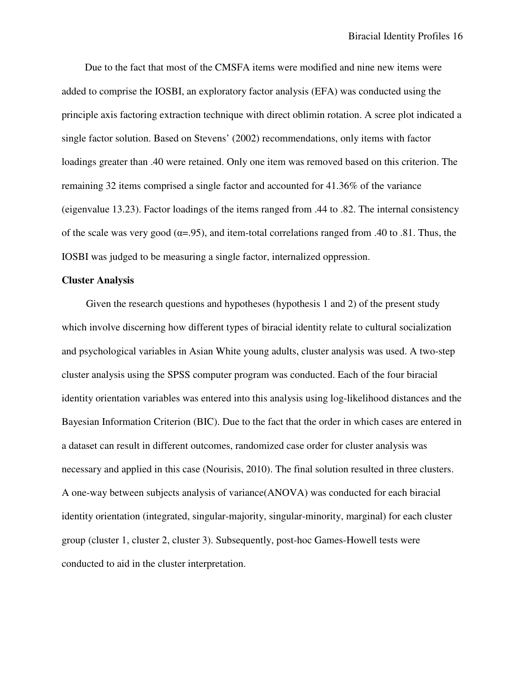Due to the fact that most of the CMSFA items were modified and nine new items were added to comprise the IOSBI, an exploratory factor analysis (EFA) was conducted using the principle axis factoring extraction technique with direct oblimin rotation. A scree plot indicated a single factor solution. Based on Stevens' (2002) recommendations, only items with factor loadings greater than .40 were retained. Only one item was removed based on this criterion. The remaining 32 items comprised a single factor and accounted for 41.36% of the variance (eigenvalue 13.23). Factor loadings of the items ranged from .44 to .82. The internal consistency of the scale was very good ( $\alpha$ =.95), and item-total correlations ranged from .40 to .81. Thus, the IOSBI was judged to be measuring a single factor, internalized oppression.

## **Cluster Analysis**

Given the research questions and hypotheses (hypothesis 1 and 2) of the present study which involve discerning how different types of biracial identity relate to cultural socialization and psychological variables in Asian White young adults, cluster analysis was used. A two-step cluster analysis using the SPSS computer program was conducted. Each of the four biracial identity orientation variables was entered into this analysis using log-likelihood distances and the Bayesian Information Criterion (BIC). Due to the fact that the order in which cases are entered in a dataset can result in different outcomes, randomized case order for cluster analysis was necessary and applied in this case (Nourisis, 2010). The final solution resulted in three clusters. A one-way between subjects analysis of variance(ANOVA) was conducted for each biracial identity orientation (integrated, singular-majority, singular-minority, marginal) for each cluster group (cluster 1, cluster 2, cluster 3). Subsequently, post-hoc Games-Howell tests were conducted to aid in the cluster interpretation.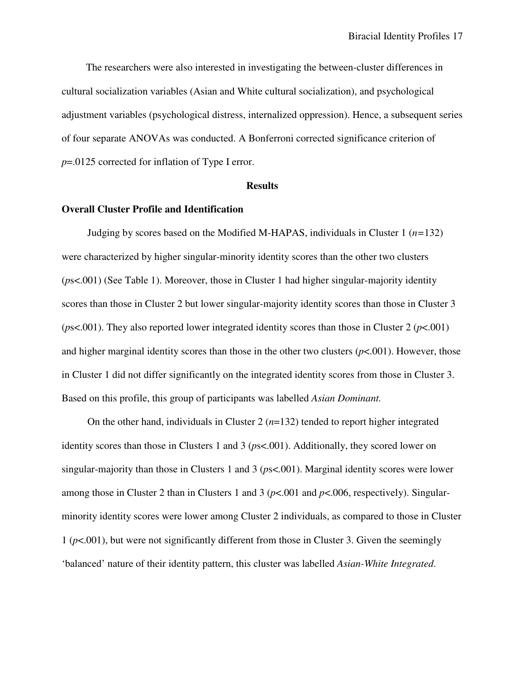The researchers were also interested in investigating the between-cluster differences in cultural socialization variables (Asian and White cultural socialization), and psychological adjustment variables (psychological distress, internalized oppression). Hence, a subsequent series of four separate ANOVAs was conducted. A Bonferroni corrected significance criterion of *p*=.0125 corrected for inflation of Type I error.

#### **Results**

# **Overall Cluster Profile and Identification**

Judging by scores based on the Modified M-HAPAS, individuals in Cluster 1 (*n=*132) were characterized by higher singular-minority identity scores than the other two clusters (*p*s<.001) (See Table 1). Moreover, those in Cluster 1 had higher singular-majority identity scores than those in Cluster 2 but lower singular-majority identity scores than those in Cluster 3 (*p*s<.001). They also reported lower integrated identity scores than those in Cluster 2 (*p*<.001) and higher marginal identity scores than those in the other two clusters  $(p<.001)$ . However, those in Cluster 1 did not differ significantly on the integrated identity scores from those in Cluster 3. Based on this profile, this group of participants was labelled *Asian Dominant.*

On the other hand, individuals in Cluster  $2(n=132)$  tended to report higher integrated identity scores than those in Clusters 1 and 3 (*p*s<.001). Additionally, they scored lower on singular-majority than those in Clusters 1 and 3 (*p*s<.001). Marginal identity scores were lower among those in Cluster 2 than in Clusters 1 and 3 (*p*<.001 and *p*<.006, respectively). Singularminority identity scores were lower among Cluster 2 individuals, as compared to those in Cluster 1 (*p*<.001), but were not significantly different from those in Cluster 3. Given the seemingly 'balanced' nature of their identity pattern, this cluster was labelled *Asian-White Integrated*.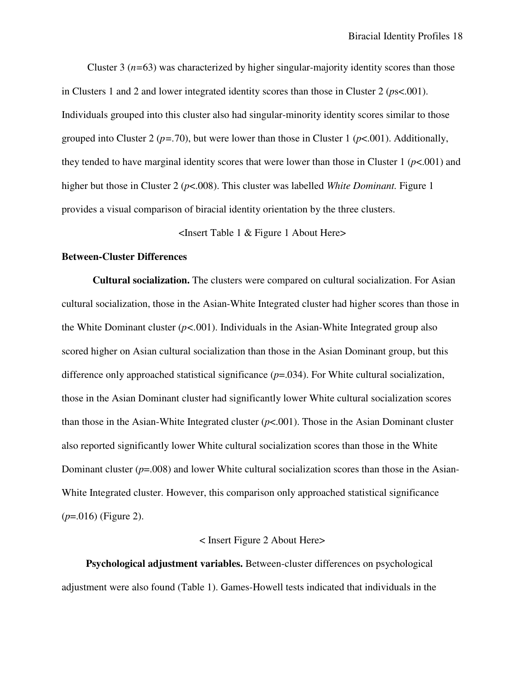Cluster 3 (*n=*63) was characterized by higher singular-majority identity scores than those in Clusters 1 and 2 and lower integrated identity scores than those in Cluster 2 (*p*s<.001). Individuals grouped into this cluster also had singular-minority identity scores similar to those grouped into Cluster 2 ( $p = .70$ ), but were lower than those in Cluster 1 ( $p < .001$ ). Additionally, they tended to have marginal identity scores that were lower than those in Cluster 1 ( $p$ <.001) and higher but those in Cluster 2 ( $p$ <.008). This cluster was labelled *White Dominant*. Figure 1 provides a visual comparison of biracial identity orientation by the three clusters.

# <Insert Table 1 & Figure 1 About Here>

# **Between-Cluster Differences**

**Cultural socialization.** The clusters were compared on cultural socialization. For Asian cultural socialization, those in the Asian-White Integrated cluster had higher scores than those in the White Dominant cluster  $(p<0.01)$ . Individuals in the Asian-White Integrated group also scored higher on Asian cultural socialization than those in the Asian Dominant group, but this difference only approached statistical significance (*p*=.034). For White cultural socialization, those in the Asian Dominant cluster had significantly lower White cultural socialization scores than those in the Asian-White Integrated cluster  $(p<.001)$ . Those in the Asian Dominant cluster also reported significantly lower White cultural socialization scores than those in the White Dominant cluster (*p*=.008) and lower White cultural socialization scores than those in the Asian-White Integrated cluster. However, this comparison only approached statistical significance (*p*=.016) (Figure 2).

# < Insert Figure 2 About Here>

**Psychological adjustment variables.** Between-cluster differences on psychological adjustment were also found (Table 1). Games-Howell tests indicated that individuals in the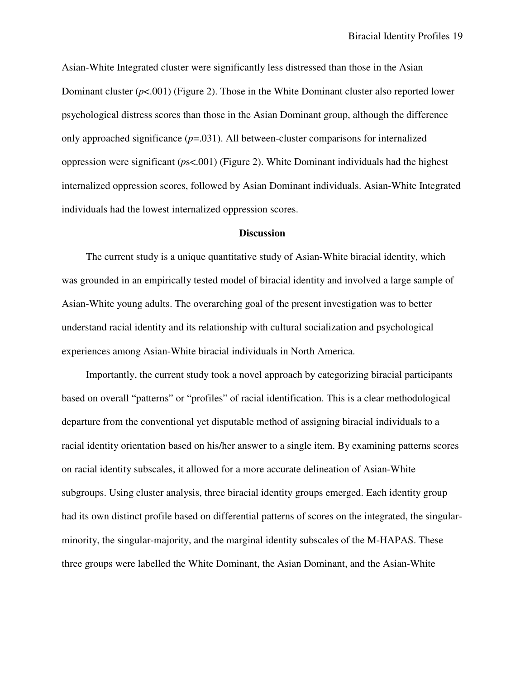Asian-White Integrated cluster were significantly less distressed than those in the Asian Dominant cluster (*p*<.001) (Figure 2). Those in the White Dominant cluster also reported lower psychological distress scores than those in the Asian Dominant group, although the difference only approached significance  $(p=0.031)$ . All between-cluster comparisons for internalized oppression were significant (*p*s<.001) (Figure 2). White Dominant individuals had the highest internalized oppression scores, followed by Asian Dominant individuals. Asian-White Integrated individuals had the lowest internalized oppression scores.

# **Discussion**

The current study is a unique quantitative study of Asian-White biracial identity, which was grounded in an empirically tested model of biracial identity and involved a large sample of Asian-White young adults. The overarching goal of the present investigation was to better understand racial identity and its relationship with cultural socialization and psychological experiences among Asian-White biracial individuals in North America.

Importantly, the current study took a novel approach by categorizing biracial participants based on overall "patterns" or "profiles" of racial identification. This is a clear methodological departure from the conventional yet disputable method of assigning biracial individuals to a racial identity orientation based on his/her answer to a single item. By examining patterns scores on racial identity subscales, it allowed for a more accurate delineation of Asian-White subgroups. Using cluster analysis, three biracial identity groups emerged. Each identity group had its own distinct profile based on differential patterns of scores on the integrated, the singularminority, the singular-majority, and the marginal identity subscales of the M-HAPAS. These three groups were labelled the White Dominant, the Asian Dominant, and the Asian-White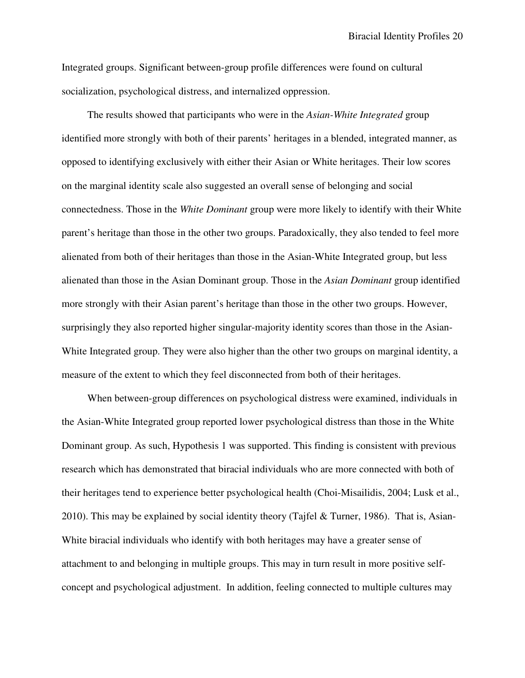Integrated groups. Significant between-group profile differences were found on cultural socialization, psychological distress, and internalized oppression.

The results showed that participants who were in the *Asian-White Integrated* group identified more strongly with both of their parents' heritages in a blended, integrated manner, as opposed to identifying exclusively with either their Asian or White heritages. Their low scores on the marginal identity scale also suggested an overall sense of belonging and social connectedness. Those in the *White Dominant* group were more likely to identify with their White parent's heritage than those in the other two groups. Paradoxically, they also tended to feel more alienated from both of their heritages than those in the Asian-White Integrated group, but less alienated than those in the Asian Dominant group. Those in the *Asian Dominant* group identified more strongly with their Asian parent's heritage than those in the other two groups. However, surprisingly they also reported higher singular-majority identity scores than those in the Asian-White Integrated group. They were also higher than the other two groups on marginal identity, a measure of the extent to which they feel disconnected from both of their heritages.

When between-group differences on psychological distress were examined, individuals in the Asian-White Integrated group reported lower psychological distress than those in the White Dominant group. As such, Hypothesis 1 was supported. This finding is consistent with previous research which has demonstrated that biracial individuals who are more connected with both of their heritages tend to experience better psychological health (Choi-Misailidis, 2004; Lusk et al., 2010). This may be explained by social identity theory (Tajfel & Turner, 1986). That is, Asian-White biracial individuals who identify with both heritages may have a greater sense of attachment to and belonging in multiple groups. This may in turn result in more positive selfconcept and psychological adjustment. In addition, feeling connected to multiple cultures may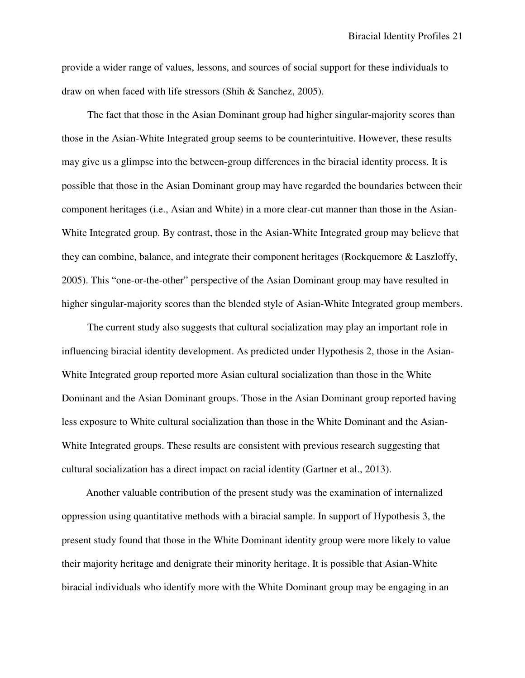provide a wider range of values, lessons, and sources of social support for these individuals to draw on when faced with life stressors (Shih & Sanchez, 2005).

The fact that those in the Asian Dominant group had higher singular-majority scores than those in the Asian-White Integrated group seems to be counterintuitive. However, these results may give us a glimpse into the between-group differences in the biracial identity process. It is possible that those in the Asian Dominant group may have regarded the boundaries between their component heritages (i.e., Asian and White) in a more clear-cut manner than those in the Asian-White Integrated group. By contrast, those in the Asian-White Integrated group may believe that they can combine, balance, and integrate their component heritages (Rockquemore & Laszloffy, 2005). This "one-or-the-other" perspective of the Asian Dominant group may have resulted in higher singular-majority scores than the blended style of Asian-White Integrated group members.

The current study also suggests that cultural socialization may play an important role in influencing biracial identity development. As predicted under Hypothesis 2, those in the Asian-White Integrated group reported more Asian cultural socialization than those in the White Dominant and the Asian Dominant groups. Those in the Asian Dominant group reported having less exposure to White cultural socialization than those in the White Dominant and the Asian-White Integrated groups. These results are consistent with previous research suggesting that cultural socialization has a direct impact on racial identity (Gartner et al., 2013).

Another valuable contribution of the present study was the examination of internalized oppression using quantitative methods with a biracial sample. In support of Hypothesis 3, the present study found that those in the White Dominant identity group were more likely to value their majority heritage and denigrate their minority heritage. It is possible that Asian-White biracial individuals who identify more with the White Dominant group may be engaging in an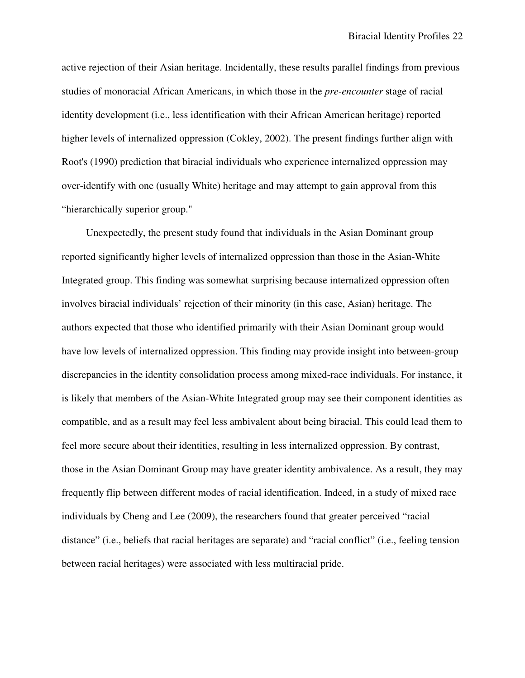active rejection of their Asian heritage. Incidentally, these results parallel findings from previous studies of monoracial African Americans, in which those in the *pre-encounter* stage of racial identity development (i.e., less identification with their African American heritage) reported higher levels of internalized oppression (Cokley, 2002). The present findings further align with Root's (1990) prediction that biracial individuals who experience internalized oppression may over-identify with one (usually White) heritage and may attempt to gain approval from this "hierarchically superior group."

Unexpectedly, the present study found that individuals in the Asian Dominant group reported significantly higher levels of internalized oppression than those in the Asian-White Integrated group. This finding was somewhat surprising because internalized oppression often involves biracial individuals' rejection of their minority (in this case, Asian) heritage. The authors expected that those who identified primarily with their Asian Dominant group would have low levels of internalized oppression. This finding may provide insight into between-group discrepancies in the identity consolidation process among mixed-race individuals. For instance, it is likely that members of the Asian-White Integrated group may see their component identities as compatible, and as a result may feel less ambivalent about being biracial. This could lead them to feel more secure about their identities, resulting in less internalized oppression. By contrast, those in the Asian Dominant Group may have greater identity ambivalence. As a result, they may frequently flip between different modes of racial identification. Indeed, in a study of mixed race individuals by Cheng and Lee (2009), the researchers found that greater perceived "racial distance" (i.e., beliefs that racial heritages are separate) and "racial conflict" (i.e., feeling tension between racial heritages) were associated with less multiracial pride.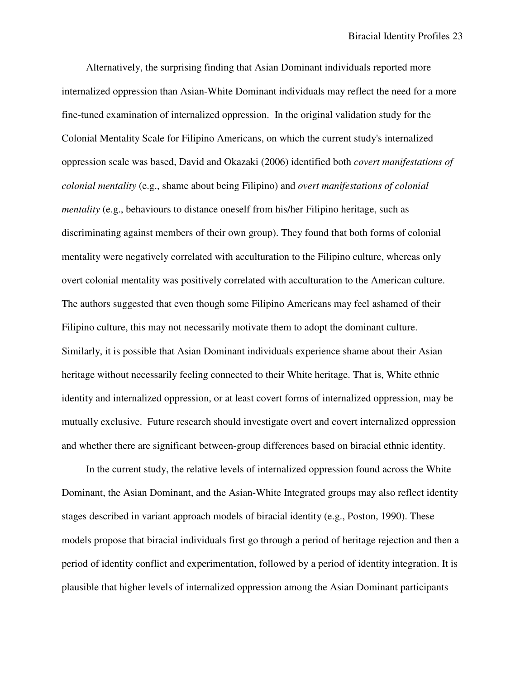Alternatively, the surprising finding that Asian Dominant individuals reported more internalized oppression than Asian-White Dominant individuals may reflect the need for a more fine-tuned examination of internalized oppression. In the original validation study for the Colonial Mentality Scale for Filipino Americans, on which the current study's internalized oppression scale was based, David and Okazaki (2006) identified both *covert manifestations of colonial mentality* (e.g., shame about being Filipino) and *overt manifestations of colonial mentality* (e.g., behaviours to distance oneself from his/her Filipino heritage, such as discriminating against members of their own group). They found that both forms of colonial mentality were negatively correlated with acculturation to the Filipino culture, whereas only overt colonial mentality was positively correlated with acculturation to the American culture. The authors suggested that even though some Filipino Americans may feel ashamed of their Filipino culture, this may not necessarily motivate them to adopt the dominant culture. Similarly, it is possible that Asian Dominant individuals experience shame about their Asian heritage without necessarily feeling connected to their White heritage. That is, White ethnic identity and internalized oppression, or at least covert forms of internalized oppression, may be mutually exclusive. Future research should investigate overt and covert internalized oppression and whether there are significant between-group differences based on biracial ethnic identity.

In the current study, the relative levels of internalized oppression found across the White Dominant, the Asian Dominant, and the Asian-White Integrated groups may also reflect identity stages described in variant approach models of biracial identity (e.g., Poston, 1990). These models propose that biracial individuals first go through a period of heritage rejection and then a period of identity conflict and experimentation, followed by a period of identity integration. It is plausible that higher levels of internalized oppression among the Asian Dominant participants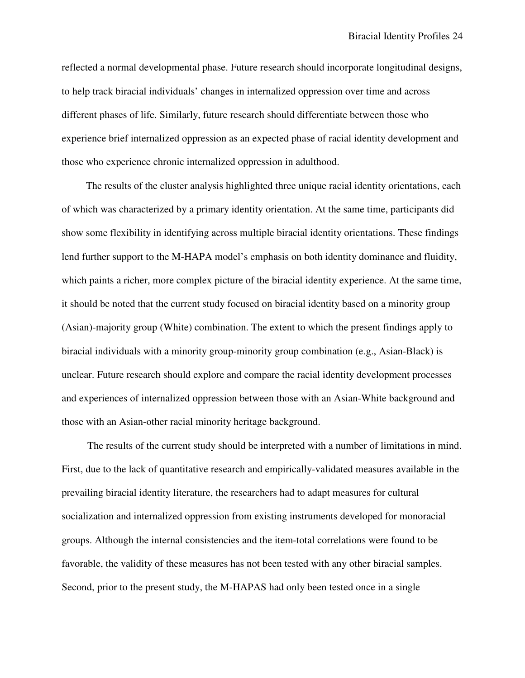reflected a normal developmental phase. Future research should incorporate longitudinal designs, to help track biracial individuals' changes in internalized oppression over time and across different phases of life. Similarly, future research should differentiate between those who experience brief internalized oppression as an expected phase of racial identity development and those who experience chronic internalized oppression in adulthood.

The results of the cluster analysis highlighted three unique racial identity orientations, each of which was characterized by a primary identity orientation. At the same time, participants did show some flexibility in identifying across multiple biracial identity orientations. These findings lend further support to the M-HAPA model's emphasis on both identity dominance and fluidity, which paints a richer, more complex picture of the biracial identity experience. At the same time, it should be noted that the current study focused on biracial identity based on a minority group (Asian)-majority group (White) combination. The extent to which the present findings apply to biracial individuals with a minority group-minority group combination (e.g., Asian-Black) is unclear. Future research should explore and compare the racial identity development processes and experiences of internalized oppression between those with an Asian-White background and those with an Asian-other racial minority heritage background.

The results of the current study should be interpreted with a number of limitations in mind. First, due to the lack of quantitative research and empirically-validated measures available in the prevailing biracial identity literature, the researchers had to adapt measures for cultural socialization and internalized oppression from existing instruments developed for monoracial groups. Although the internal consistencies and the item-total correlations were found to be favorable, the validity of these measures has not been tested with any other biracial samples. Second, prior to the present study, the M-HAPAS had only been tested once in a single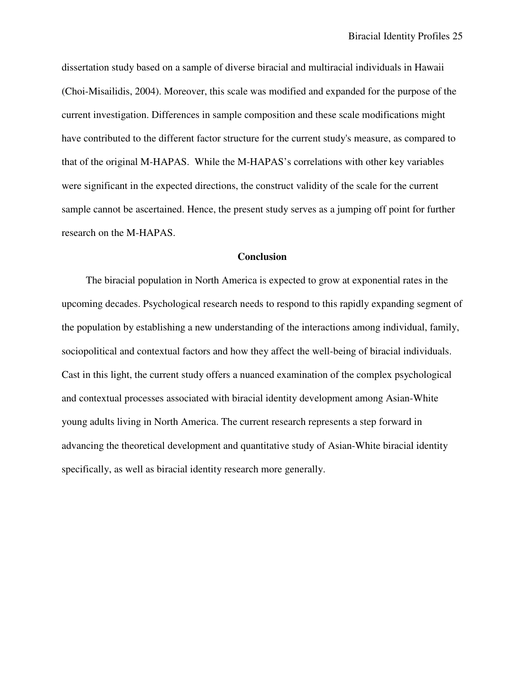dissertation study based on a sample of diverse biracial and multiracial individuals in Hawaii (Choi-Misailidis, 2004). Moreover, this scale was modified and expanded for the purpose of the current investigation. Differences in sample composition and these scale modifications might have contributed to the different factor structure for the current study's measure, as compared to that of the original M-HAPAS. While the M-HAPAS's correlations with other key variables were significant in the expected directions, the construct validity of the scale for the current sample cannot be ascertained. Hence, the present study serves as a jumping off point for further research on the M-HAPAS.

# **Conclusion**

The biracial population in North America is expected to grow at exponential rates in the upcoming decades. Psychological research needs to respond to this rapidly expanding segment of the population by establishing a new understanding of the interactions among individual, family, sociopolitical and contextual factors and how they affect the well-being of biracial individuals. Cast in this light, the current study offers a nuanced examination of the complex psychological and contextual processes associated with biracial identity development among Asian-White young adults living in North America. The current research represents a step forward in advancing the theoretical development and quantitative study of Asian-White biracial identity specifically, as well as biracial identity research more generally.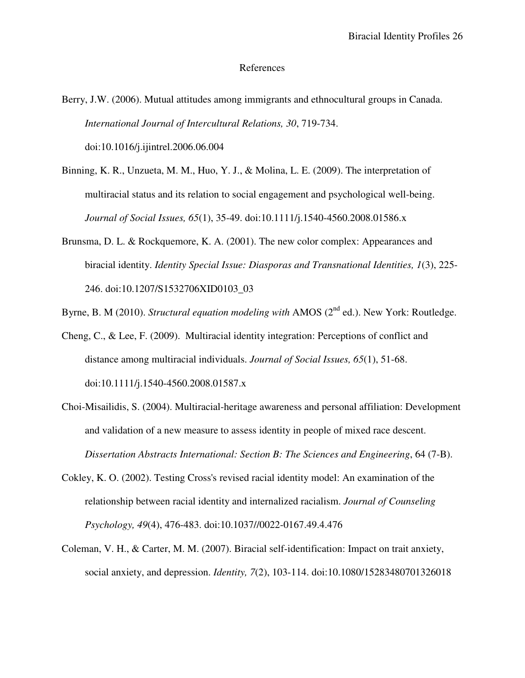# References

- Berry, J.W. (2006). Mutual attitudes among immigrants and ethnocultural groups in Canada. *International Journal of Intercultural Relations, 30*, 719-734. doi:10.1016/j.ijintrel.2006.06.004
- Binning, K. R., Unzueta, M. M., Huo, Y. J., & Molina, L. E. (2009). The interpretation of multiracial status and its relation to social engagement and psychological well-being. *Journal of Social Issues, 65*(1), 35-49. doi:10.1111/j.1540-4560.2008.01586.x
- Brunsma, D. L. & Rockquemore, K. A. (2001). The new color complex: Appearances and biracial identity. *Identity Special Issue: Diasporas and Transnational Identities, 1*(3), 225- 246. doi:10.1207/S1532706XID0103\_03

Byrne, B. M (2010). *Structural equation modeling with* AMOS (2<sup>nd</sup> ed.). New York: Routledge.

- Cheng, C., & Lee, F. (2009). Multiracial identity integration: Perceptions of conflict and distance among multiracial individuals. *Journal of Social Issues, 65*(1), 51-68. doi:10.1111/j.1540-4560.2008.01587.x
- Choi-Misailidis, S. (2004). Multiracial-heritage awareness and personal affiliation: Development and validation of a new measure to assess identity in people of mixed race descent. *Dissertation Abstracts International: Section B: The Sciences and Engineering*, 64 (7-B).
- Cokley, K. O. (2002). Testing Cross's revised racial identity model: An examination of the relationship between racial identity and internalized racialism. *Journal of Counseling Psychology, 49*(4), 476-483. doi:10.1037//0022-0167.49.4.476
- Coleman, V. H., & Carter, M. M. (2007). Biracial self-identification: Impact on trait anxiety, social anxiety, and depression. *Identity, 7*(2), 103-114. doi:10.1080/15283480701326018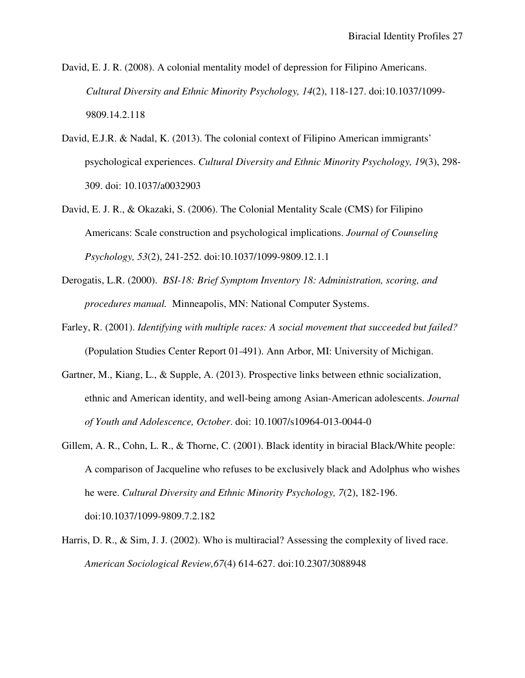David, E. J. R. (2008). A colonial mentality model of depression for Filipino Americans. *Cultural Diversity and Ethnic Minority Psychology, 14*(2), 118-127. doi:10.1037/1099- 9809.14.2.118

- David, E.J.R. & Nadal, K. (2013). The colonial context of Filipino American immigrants' psychological experiences. *Cultural Diversity and Ethnic Minority Psychology, 19*(3), 298- 309. doi: 10.1037/a0032903
- David, E. J. R., & Okazaki, S. (2006). The Colonial Mentality Scale (CMS) for Filipino Americans: Scale construction and psychological implications. *Journal of Counseling Psychology, 53*(2), 241-252. doi:10.1037/1099-9809.12.1.1
- Derogatis, L.R. (2000). *BSI-18: Brief Symptom Inventory 18: Administration, scoring, and procedures manual.* Minneapolis, MN: National Computer Systems.
- Farley, R. (2001). *Identifying with multiple races: A social movement that succeeded but failed?* (Population Studies Center Report 01-491). Ann Arbor, MI: University of Michigan.
- Gartner, M., Kiang, L., & Supple, A. (2013). Prospective links between ethnic socialization, ethnic and American identity, and well-being among Asian-American adolescents. *Journal of Youth and Adolescence, October*. doi: 10.1007/s10964-013-0044-0
- Gillem, A. R., Cohn, L. R., & Thorne, C. (2001). Black identity in biracial Black/White people: A comparison of Jacqueline who refuses to be exclusively black and Adolphus who wishes he were. *Cultural Diversity and Ethnic Minority Psychology, 7*(2), 182-196. doi:10.1037/1099-9809.7.2.182
- Harris, D. R., & Sim, J. J. (2002). Who is multiracial? Assessing the complexity of lived race. *American Sociological Review,67*(4) 614-627. doi:10.2307/3088948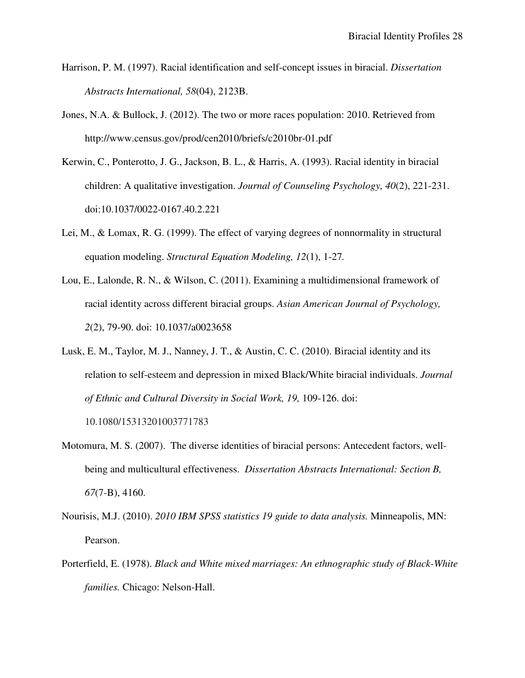- Harrison, P. M. (1997). Racial identification and self-concept issues in biracial. *Dissertation Abstracts International, 58*(04), 2123B.
- Jones, N.A. & Bullock, J. (2012). The two or more races population: 2010. Retrieved from http://www.census.gov/prod/cen2010/briefs/c2010br-01.pdf
- Kerwin, C., Ponterotto, J. G., Jackson, B. L., & Harris, A. (1993). Racial identity in biracial children: A qualitative investigation. *Journal of Counseling Psychology, 40*(2), 221-231. doi:10.1037/0022-0167.40.2.221
- Lei, M., & Lomax, R. G. (1999). The effect of varying degrees of nonnormality in structural equation modeling. *Structural Equation Modeling, 12*(1), 1-27*.*
- Lou, E., Lalonde, R. N., & Wilson, C. (2011). Examining a multidimensional framework of racial identity across different biracial groups. *Asian American Journal of Psychology, 2*(2), 79-90. doi: 10.1037/a0023658
- Lusk, E. M., Taylor, M. J., Nanney, J. T., & Austin, C. C. (2010). Biracial identity and its relation to self-esteem and depression in mixed Black/White biracial individuals. *Journal of Ethnic and Cultural Diversity in Social Work, 19,* 109-126. doi: 10.1080/15313201003771783
- Motomura, M. S. (2007). The diverse identities of biracial persons: Antecedent factors, wellbeing and multicultural effectiveness. *Dissertation Abstracts International: Section B, 67*(7-B), 4160.
- Nourisis, M.J. (2010). *2010 IBM SPSS statistics 19 guide to data analysis.* Minneapolis, MN: Pearson.
- Porterfield, E. (1978). *Black and White mixed marriages: An ethnographic study of Black-White families.* Chicago: Nelson-Hall.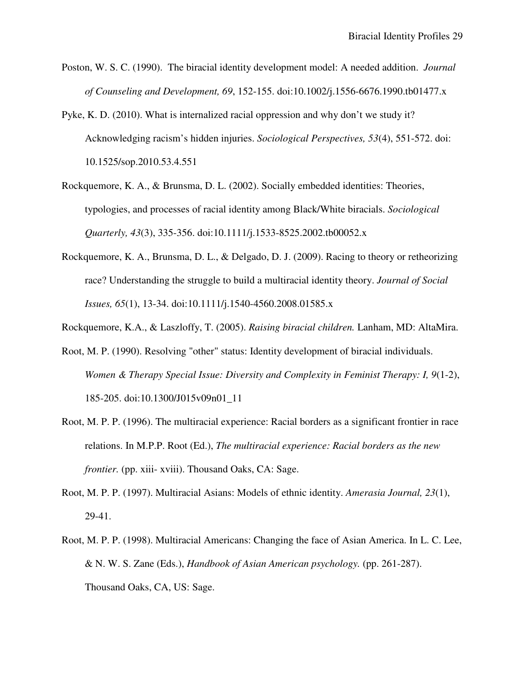- Poston, W. S. C. (1990). The biracial identity development model: A needed addition. *Journal of Counseling and Development, 69*, 152-155. doi:10.1002/j.1556-6676.1990.tb01477.x
- Pyke, K. D. (2010). What is internalized racial oppression and why don't we study it? Acknowledging racism's hidden injuries. *Sociological Perspectives, 53*(4), 551-572. doi: 10.1525/sop.2010.53.4.551
- Rockquemore, K. A., & Brunsma, D. L. (2002). Socially embedded identities: Theories, typologies, and processes of racial identity among Black/White biracials. *Sociological Quarterly, 43*(3), 335-356. doi:10.1111/j.1533-8525.2002.tb00052.x
- Rockquemore, K. A., Brunsma, D. L., & Delgado, D. J. (2009). Racing to theory or retheorizing race? Understanding the struggle to build a multiracial identity theory. *Journal of Social Issues, 65*(1), 13-34. doi:10.1111/j.1540-4560.2008.01585.x
- Rockquemore, K.A., & Laszloffy, T. (2005). *Raising biracial children.* Lanham, MD: AltaMira.
- Root, M. P. (1990). Resolving "other" status: Identity development of biracial individuals. *Women & Therapy Special Issue: Diversity and Complexity in Feminist Therapy: I, 9*(1-2), 185-205. doi:10.1300/J015v09n01\_11
- Root, M. P. P. (1996). The multiracial experience: Racial borders as a significant frontier in race relations. In M.P.P. Root (Ed.), *The multiracial experience: Racial borders as the new frontier.* (pp. xiii- xviii). Thousand Oaks, CA: Sage.
- Root, M. P. P. (1997). Multiracial Asians: Models of ethnic identity. *Amerasia Journal, 23*(1), 29-41.
- Root, M. P. P. (1998). Multiracial Americans: Changing the face of Asian America. In L. C. Lee, & N. W. S. Zane (Eds.), *Handbook of Asian American psychology.* (pp. 261-287). Thousand Oaks, CA, US: Sage.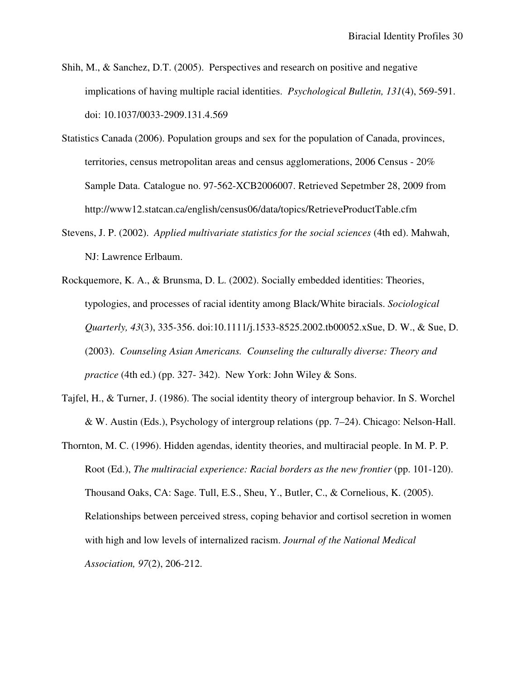- Shih, M., & Sanchez, D.T. (2005). Perspectives and research on positive and negative implications of having multiple racial identities. *Psychological Bulletin, 131*(4), 569-591. doi: 10.1037/0033-2909.131.4.569
- Statistics Canada (2006). Population groups and sex for the population of Canada, provinces, territories, census metropolitan areas and census agglomerations, 2006 Census - 20% Sample Data. Catalogue no. 97-562-XCB2006007. Retrieved Sepetmber 28, 2009 from http://www12.statcan.ca/english/census06/data/topics/RetrieveProductTable.cfm
- Stevens, J. P. (2002). *Applied multivariate statistics for the social sciences* (4th ed). Mahwah, NJ: Lawrence Erlbaum.
- Rockquemore, K. A., & Brunsma, D. L. (2002). Socially embedded identities: Theories, typologies, and processes of racial identity among Black/White biracials. *Sociological Quarterly, 43*(3), 335-356. doi:10.1111/j.1533-8525.2002.tb00052.xSue, D. W., & Sue, D. (2003). *Counseling Asian Americans. Counseling the culturally diverse: Theory and practice* (4th ed.) (pp. 327- 342). New York: John Wiley & Sons.
- Tajfel, H., & Turner, J. (1986). The social identity theory of intergroup behavior. In S. Worchel & W. Austin (Eds.), Psychology of intergroup relations (pp. 7–24). Chicago: Nelson-Hall.
- Thornton, M. C. (1996). Hidden agendas, identity theories, and multiracial people. In M. P. P. Root (Ed.), *The multiracial experience: Racial borders as the new frontier* (pp. 101-120). Thousand Oaks, CA: Sage. Tull, E.S., Sheu, Y., Butler, C., & Cornelious, K. (2005). Relationships between perceived stress, coping behavior and cortisol secretion in women with high and low levels of internalized racism. *Journal of the National Medical Association, 97*(2), 206-212.